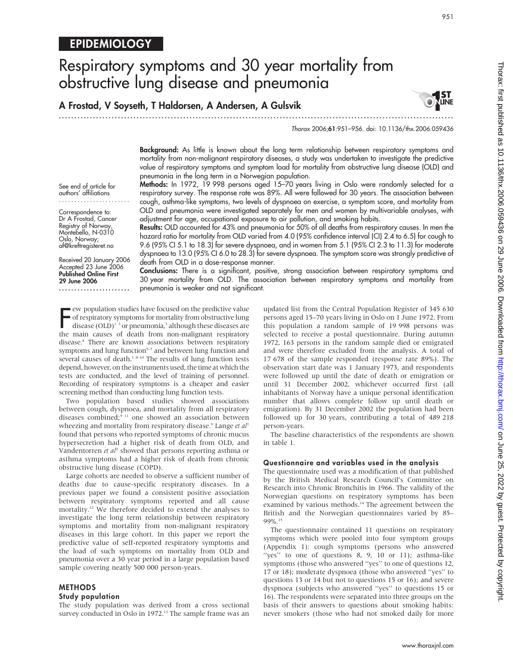# Respiratory symptoms and 30 year mortality from obstructive lung disease and pneumonia

A Frostad, V Soyseth, T Haldorsen, A Andersen, A Gulsvik

.............................................................................................................................. .

Thorax 2006;61:951–956. doi: 10.1136/thx.2006.059436

Background: As little is known about the long term relationship between respiratory symptoms and mortality from non-malignant respiratory diseases, a study was undertaken to investigate the predictive value of respiratory symptoms and symptom load for mortality from obstructive lung disease (OLD) and pneumonia in the long term in a Norwegian population.

Methods: In 1972, 19 998 persons aged 15-70 years living in Oslo were randomly selected for a respiratory survey. The response rate was 89%. All were followed for 30 years. The association between cough, asthma-like symptoms, two levels of dyspnoea on exercise, a symptom score, and mortality from OLD and pneumonia were investigated separately for men and women by multivariable analyses, with adjustment for age, occupational exposure to air pollution, and smoking habits.

Results: OLD accounted for 43% and pneumonia for 50% of all deaths from respiratory causes. In men the hazard ratio for mortality from OLD varied from 4.0 (95% confidence interval (CI) 2.4 to 6.5) for cough to 9.6 (95% CI 5.1 to 18.3) for severe dyspnoea, and in women from 5.1 (95% CI 2.3 to 11.3) for moderate dyspnoea to 13.0 (95% CI 6.0 to 28.3) for severe dyspnoea. The symptom score was strongly predictive of death from OLD in a dose-response manner.

Conclusions: There is a significant, positive, strong association between respiratory symptoms and 30 year mortality from OLD. The association between respiratory symptoms and mortality from pneumonia is weaker and not significant.

E ew population studies have focused on the predictive value<br>of respiratory symptoms for mortality from obstructive lung<br>disease (OLD)<sup>12</sup> or pneumonia,<sup>3</sup> although these diseases are<br>the main causes of death from non mali ew population studies have focused on the predictive value disease  $(OLD)^{1/2}$  or pneumonia,<sup>3</sup> although these diseases are the main causes of death from non-malignant respiratory disease.4 There are known associations between respiratory symptoms and lung function<sup>5-7</sup> and between lung function and several causes of death.<sup>1 8-10</sup> The results of lung function tests depend, however, on the instruments used, the time at which the tests are conducted, and the level of training of personnel. Recording of respiratory symptoms is a cheaper and easier screening method than conducting lung function tests.

Two population based studies showed associations between cough, dyspnoea, and mortality from all respiratory diseases combined;<sup>9 11</sup> one showed an association between wheezing and mortality from respiratory disease. $9$  Lange et  $al<sup>1</sup>$ found that persons who reported symptoms of chronic mucus hypersecretion had a higher risk of death from OLD, and Vandentorren et al<sup>2</sup> showed that persons reporting asthma or asthma symptoms had a higher risk of death from chronic obstructive lung disease (COPD).

Large cohorts are needed to observe a sufficient number of deaths due to cause-specific respiratory diseases. In a previous paper we found a consistent positive association between respiratory symptoms reported and all cause mortality.12 We therefore decided to extend the analyses to investigate the long term relationship between respiratory symptoms and mortality from non-malignant respiratory diseases in this large cohort. In this paper we report the predictive value of self-reported respiratory symptoms and the load of such symptoms on mortality from OLD and pneumonia over a 30 year period in a large population based sample covering nearly 500 000 person-years.

## METHODS

#### Study population

The study population was derived from a cross sectional survey conducted in Oslo in 1972.<sup>13</sup> The sample frame was an updated list from the Central Population Register of 345 630 persons aged 15–70 years living in Oslo on 1 June 1972. From this population a random sample of 19 998 persons was selected to receive a postal questionnaire. During autumn 1972, 163 persons in the random sample died or emigrated and were therefore excluded from the analysis. A total of 17 678 of the sample responded (response rate 89%). The observation start date was 1 January 1973, and respondents were followed up until the date of death or emigration or until 31 December 2002, whichever occurred first (all inhabitants of Norway have a unique personal identification number that allows complete follow up until death or emigration). By 31 December 2002 the population had been followed up for 30 years, contributing a total of 489 218 person-years.

The baseline characteristics of the respondents are shown in table 1.

#### Questionnaire and variables used in the analysis

The questionnaire used was a modification of that published by the British Medical Research Council's Committee on Research into Chronic Bronchitis in 1966. The validity of the Norwegian questions on respiratory symptoms has been examined by various methods.<sup>14</sup> The agreement between the British and the Norwegian questionnaires varied by 85– 99%.15

The questionnaire contained 11 questions on respiratory symptoms which were pooled into four symptom groups (Appendix 1): cough symptoms (persons who answered "yes" to one of questions  $8, 9, 10$  or 11); asthma-like symptoms (those who answered ''yes'' to one of questions 12, 17 or 18); moderate dyspnoea (those who answered ''yes'' to questions 13 or 14 but not to questions 15 or 16); and severe dyspnoea (subjects who answered ''yes'' to questions 15 or 16). The respondents were separated into three groups on the basis of their answers to questions about smoking habits: never smokers (those who had not smoked daily for more

See end of article for authors' affiliations .......................

Correspondence to: Dr A Frostad, Cancer Registry of Norway, Montebello, N-0310 Oslo, Norway; af@kreftregisteret.no

Received 20 January 2006 Accepted 23 June 2006 Published Online First 29 June 2006

.......................

**AST<br>Nune**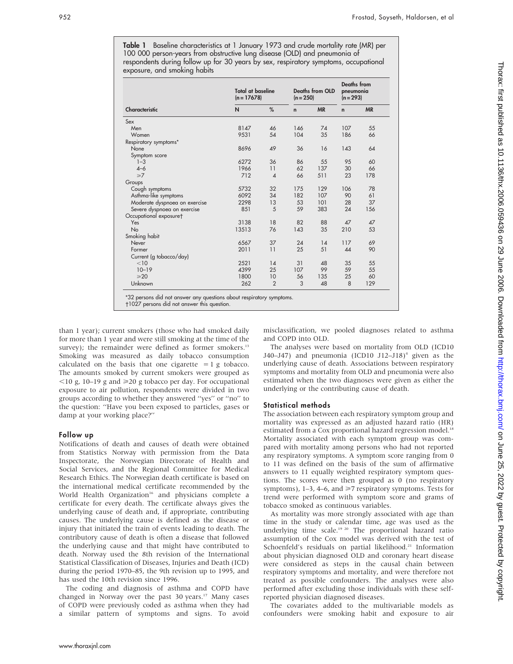Table 1 Baseline characteristics at 1 January 1973 and crude mortality rate (MR) per 100 000 person-years from obstructive lung disease (OLD) and pneumonia of respondents during follow up for 30 years by sex, respiratory symptoms, occupational exposure, and smoking habits

|                               | <b>Total at baseline</b><br>$(n = 17678)$ |                | <b>Deaths from OLD</b><br>$(n = 250)$ |           | <b>Deaths</b> from<br>pneumonia<br>$(n = 293)$ |           |
|-------------------------------|-------------------------------------------|----------------|---------------------------------------|-----------|------------------------------------------------|-----------|
| Characteristic                | N                                         | %              | $\mathsf{n}$                          | <b>MR</b> | n                                              | <b>MR</b> |
| Sex                           |                                           |                |                                       |           |                                                |           |
| Men                           | 8147                                      | 46             | 146                                   | 74        | 107                                            | 55        |
| Women                         | 9531                                      | 54             | 104                                   | 35        | 186                                            | 66        |
| Respiratory symptoms*         |                                           |                |                                       |           |                                                |           |
| None                          | 8696                                      | 49             | 36                                    | 16        | 143                                            | 64        |
| Symptom score                 |                                           |                |                                       |           |                                                |           |
| $1 - 3$                       | 6272                                      | 36             | 86                                    | 55        | 95                                             | 60        |
| $4 - 6$                       | 1966                                      | 11             | 62                                    | 137       | 30                                             | 66        |
| $\geq 7$                      | 712                                       | $\overline{A}$ | 66                                    | 511       | 23                                             | 178       |
| Groups                        |                                           |                |                                       |           |                                                |           |
| Cough symptoms                | 5732                                      | 32             | 175                                   | 129       | 106                                            | 78        |
| Asthma-like symptoms          | 6092                                      | 34             | 182                                   | 107       | 90                                             | 61        |
| Moderate dyspnoea on exercise | 2298                                      | 13             | 53                                    | 101       | 28                                             | 37        |
| Severe dyspnoea on exercise   | 851                                       | 5              | 59                                    | 383       | 24                                             | 156       |
| Occupational exposuret        |                                           |                |                                       |           |                                                |           |
| Yes                           | 3138                                      | 18             | 82                                    | 88        | 47                                             | 47        |
| No                            | 13513                                     | 76             | 143                                   | 35        | 210                                            | 53        |
| Smoking habit                 |                                           |                |                                       |           |                                                |           |
| Never                         | 6567                                      | 37             | 24                                    | 14        | 117                                            | 69        |
| Former                        | 2011                                      | 11             | 25                                    | 51        | 44                                             | 90        |
| Current (g tobacco/day)       |                                           |                |                                       |           |                                                |           |
| < 10                          | 2521                                      | 14             | 31                                    | 48        | 35                                             | 55        |
| $10 - 19$                     | 4399                                      | 25             | 107                                   | 99        | 59                                             | 55        |
| $\geqslant$ 20                | 1800                                      | 10             | 56                                    | 135       | 25                                             | 60        |
| Unknown                       | 262                                       | $\overline{2}$ | 3                                     | 48        | 8                                              | 129       |

-1027 persons did not answer this question.

than 1 year); current smokers (those who had smoked daily for more than 1 year and were still smoking at the time of the survey); the remainder were defined as former smokers. $13$ Smoking was measured as daily tobacco consumption calculated on the basis that one cigarette  $= 1$  g tobacco. The amounts smoked by current smokers were grouped as  $\leq$ 10 g, 10–19 g and  $\geq$ 20 g tobacco per day. For occupational exposure to air pollution, respondents were divided in two groups according to whether they answered ''yes'' or ''no'' to the question: ''Have you been exposed to particles, gases or damp at your working place?''

### Follow up

Notifications of death and causes of death were obtained from Statistics Norway with permission from the Data Inspectorate, the Norwegian Directorate of Health and Social Services, and the Regional Committee for Medical Research Ethics. The Norwegian death certificate is based on the international medical certificate recommended by the World Health Organization<sup>16</sup> and physicians complete a certificate for every death. The certificate always gives the underlying cause of death and, if appropriate, contributing causes. The underlying cause is defined as the disease or injury that initiated the train of events leading to death. The contributory cause of death is often a disease that followed the underlying cause and that might have contributed to death. Norway used the 8th revision of the International Statistical Classification of Diseases, Injuries and Death (ICD) during the period 1970–85, the 9th revision up to 1995, and has used the 10th revision since 1996.

The coding and diagnosis of asthma and COPD have changed in Norway over the past 30 years.<sup>17</sup> Many cases of COPD were previously coded as asthma when they had a similar pattern of symptoms and signs. To avoid misclassification, we pooled diagnoses related to asthma and COPD into OLD.

The analyses were based on mortality from OLD (ICD10 J40–J47) and pneumonia (ICD10 J12–J18)<sup>4</sup> given as the underlying cause of death. Associations between respiratory symptoms and mortality from OLD and pneumonia were also estimated when the two diagnoses were given as either the underlying or the contributing cause of death.

## Statistical methods

The association between each respiratory symptom group and mortality was expressed as an adjusted hazard ratio (HR) estimated from a Cox proportional hazard regression model.<sup>18</sup> Mortality associated with each symptom group was compared with mortality among persons who had not reported any respiratory symptoms. A symptom score ranging from 0 to 11 was defined on the basis of the sum of affirmative answers to 11 equally weighted respiratory symptom questions. The scores were then grouped as 0 (no respiratory symptoms), 1–3, 4–6, and  $\geq 7$  respiratory symptoms. Tests for trend were performed with symptom score and grams of tobacco smoked as continuous variables.

As mortality was more strongly associated with age than time in the study or calendar time, age was used as the underlying time scale.<sup>19 20</sup> The proportional hazard ratio assumption of the Cox model was derived with the test of Schoenfeld's residuals on partial likelihood.<sup>21</sup> Information about physician diagnosed OLD and coronary heart disease were considered as steps in the causal chain between respiratory symptoms and mortality, and were therefore not treated as possible confounders. The analyses were also performed after excluding those individuals with these selfreported physician diagnosed diseases.

The covariates added to the multivariable models as confounders were smoking habit and exposure to air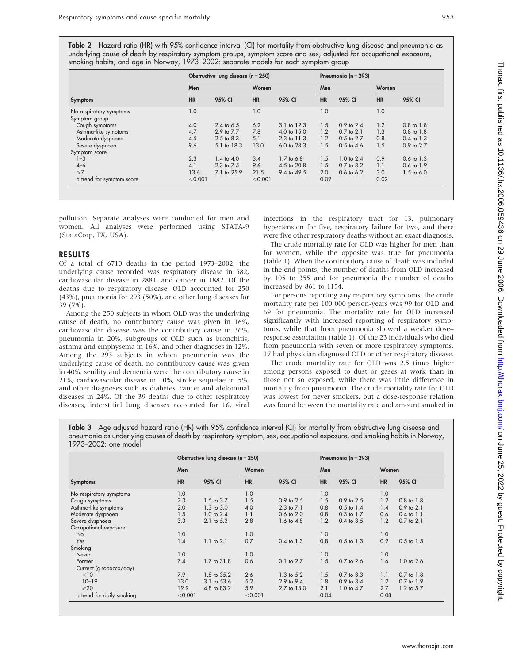Table 2 Hazard ratio (HR) with 95% confidence interval (CI) for mortality from obstructive lung disease and pneumonia as underlying cause of death by respiratory symptom groups, symptom score and sex, adjusted for occupational exposure, smoking habits, and age in Norway, 1973–2002: separate models for each symptom group

|                           |           | Obstructive lung disease $(n = 250)$ |           | Pneumonia ( $n = 293$ ) |           |                       |           |                       |
|---------------------------|-----------|--------------------------------------|-----------|-------------------------|-----------|-----------------------|-----------|-----------------------|
|                           | Men       |                                      | Women     |                         | Men       |                       | Women     |                       |
| Symptom                   | <b>HR</b> | 95% CI                               | <b>HR</b> | 95% CI                  | <b>HR</b> | 95% CI                | <b>HR</b> | 95% CI                |
| No respiratory symptoms   | 1.0       |                                      | 1.0       |                         | 1.0       |                       | 1.0       |                       |
| Symptom group             |           |                                      |           |                         |           |                       |           |                       |
| Cough symptoms            | 4.0       | 2.4 to $6.5$                         | 6.2       | $3.1$ to $12.3$         | 1.5       | $0.9$ to $2.4$        | 1.2       | $0.8$ to $1.8$        |
| Asthma-like symptoms      | 4.7       | 2.9 to 7.7                           | 7.8       | $4.0 \text{ to } 15.0$  | 1.2       | $0.7$ to $2.1$        | 1.3       | $0.8$ to $1.8$        |
| Moderate dyspnoea         | 4.5       | $2.5 \text{ to } 8.3$                | 5.1       | $2.3$ to $11.3$         | 1.2       | $0.5 \text{ to } 2.7$ | 0.8       | $0.4 \text{ to } 1.3$ |
| Severe dyspnoea           | 9.6       | 5.1 to 18.3                          | 13.0      | $6.0 \text{ to } 28.3$  | 1.5       | $0.5 \text{ to } 4.6$ | 1.5       | 0.9 to 2.7            |
| Symptom score             |           |                                      |           |                         |           |                       |           |                       |
| $1 - 3$                   | 2.3       | $1.4 \text{ to } 4.0$                | 3.4       | $1.7 \text{ to } 6.8$   | 1.5       | $1.0 \text{ to } 2.4$ | 0.9       | $0.6 \text{ to } 1.3$ |
| $4 - 6$                   | 4.1       | $2.3$ to $7.5$                       | 9.6       | 4.5 to 20.8             | 1.5       | $0.7$ to $3.2$        | 1.1       | $0.6 \text{ to } 1.9$ |
| $\geq 7$                  | 13.6      | 7.1 to 25.9                          | 21.5      | 9.4 to 49.5             | 2.0       | $0.6 \text{ to } 6.2$ | 3.0       | $1.5$ to 6.0          |
| p trend for symptom score | < 0.001   |                                      | < 0.001   |                         | 0.09      |                       | 0.02      |                       |

pollution. Separate analyses were conducted for men and women. All analyses were performed using STATA-9 (StataCorp, TX, USA).

## RESULTS

Of a total of 6710 deaths in the period 1973–2002, the underlying cause recorded was respiratory disease in 582, cardiovascular disease in 2881, and cancer in 1882. Of the deaths due to respiratory disease, OLD accounted for 250 (43%), pneumonia for 293 (50%), and other lung diseases for 39 (7%).

Among the 250 subjects in whom OLD was the underlying cause of death, no contributory cause was given in 16%, cardiovascular disease was the contributory cause in 36%, pneumonia in 20%, subgroups of OLD such as bronchitis, asthma and emphysema in 16%, and other diagnoses in 12%. Among the 293 subjects in whom pneumonia was the underlying cause of death, no contributory cause was given in 40%, senility and dementia were the contributory cause in 21%, cardiovascular disease in 10%, stroke sequelae in 5%, and other diagnoses such as diabetes, cancer and abdominal diseases in 24%. Of the 39 deaths due to other respiratory diseases, interstitial lung diseases accounted for 16, viral infections in the respiratory tract for 13, pulmonary hypertension for five, respiratory failure for two, and there were five other respiratory deaths without an exact diagnosis.

The crude mortality rate for OLD was higher for men than for women, while the opposite was true for pneumonia (table 1). When the contributory cause of death was included in the end points, the number of deaths from OLD increased by 105 to 355 and for pneumonia the number of deaths increased by 861 to 1154.

For persons reporting any respiratory symptoms, the crude mortality rate per 100 000 person-years was 99 for OLD and 69 for pneumonia. The mortality rate for OLD increased significantly with increased reporting of respiratory symptoms, while that from pneumonia showed a weaker dose– response association (table 1). Of the 23 individuals who died from pneumonia with seven or more respiratory symptoms, 17 had physician diagnosed OLD or other respiratory disease.

The crude mortality rate for OLD was 2.5 times higher among persons exposed to dust or gases at work than in those not so exposed, while there was little difference in mortality from pneumonia. The crude mortality rate for OLD was lowest for never smokers, but a dose-response relation was found between the mortality rate and amount smoked in

Table 3 Age adjusted hazard ratio (HR) with 95% confidence interval (CI) for mortality from obstructive lung disease and pneumonia as underlying causes of death by respiratory symptom, sex, occupational exposure, and smoking habits in Norway, 1973–2002: one model

|                           |           | Obstructive lung disease $(n = 250)$ |           |                       | Pneumonia ( $n = 293$ ) |                       |           |                       |
|---------------------------|-----------|--------------------------------------|-----------|-----------------------|-------------------------|-----------------------|-----------|-----------------------|
|                           | Men       |                                      | Women     |                       | Men                     |                       | Women     |                       |
| <b>Symptoms</b>           | <b>HR</b> | 95% CI                               | <b>HR</b> | 95% CI                | <b>HR</b>               | 95% CI                | <b>HR</b> | 95% CI                |
| No respiratory symptoms   | 1.0       |                                      | 1.0       |                       | 1.0                     |                       | 1.0       |                       |
| Cough symptoms            | 2.3       | $1.5$ to $3.7$                       | 1.5       | $0.9$ to $2.5$        | 1.5                     | 0.9 to 2.5            | 1.2       | $0.8$ to $1.8$        |
| Asthma-like symptoms      | 2.0       | $1.3 \text{ to } 3.0$                | 4.0       | $2.3$ to $7.1$        | 0.8                     | $0.5$ to $1.4$        | 1.4       | $0.9$ to $2.1$        |
| Moderate dyspnoea         | 1.5       | $1.0$ to $2.4$                       | 1.1       | $0.6$ to $2.0$        | 0.8                     | $0.3$ to $1.7$        | 0.6       | $0.4$ to $1.1$        |
| Severe dyspnoea           | 3.3       | $2.1$ to $5.3$                       | 2.8       | $1.6 \text{ to } 4.8$ | 1.2                     | $0.4$ to $3.5$        | 1.2       | $0.7$ to $2.1$        |
| Occupational exposure     |           |                                      |           |                       |                         |                       |           |                       |
| No                        | 1.0       |                                      | 1.0       |                       | 1.0                     |                       | 1.0       |                       |
| Yes                       | 1.4       | $1.1$ to $2.1$                       | 0.7       | $0.4 \text{ to } 1.3$ | 0.8                     | $0.5$ to $1.3$        | 0.9       | $0.5$ to $1.5$        |
| Smoking                   |           |                                      |           |                       |                         |                       |           |                       |
| Never                     | 1.0       |                                      | 1.0       |                       | 1.0                     |                       | 1.0       |                       |
| Former                    | 7.4       | 1.7 to 31.8                          | 0.6       | $0.1$ to $2.7$        | 1.5                     | 0.7 to 2.6            | 1.6       | $1.0 \text{ to } 2.6$ |
| Current (g tobacco/day)   |           |                                      |           |                       |                         |                       |           |                       |
| $<$ 10                    | 7.9       | 1.8 to 35.2                          | 2.6       | $1.3$ to $5.2$        | 1.5                     | $0.7$ to $3.3$        | 1.1       | $0.7$ to $1.8$        |
| $10 - 19$                 | 13.0      | 3.1 to 53.6                          | 5.2       | $2.9$ to $9.4$        | 1.8                     | 0.9 to 3.4            | 1.2       | 0.7 to 1.9            |
| $\geqslant$ 20            | 19.9      | 4.8 to 83.2                          | 5.9       | 2.7 to 13.0           | 2.1                     | $1.0 \text{ to } 4.7$ | 2.7       | $1.2$ to $5.7$        |
| p trend for daily smoking | < 0.001   |                                      | < 0.001   |                       | 0.04                    |                       | 0.08      |                       |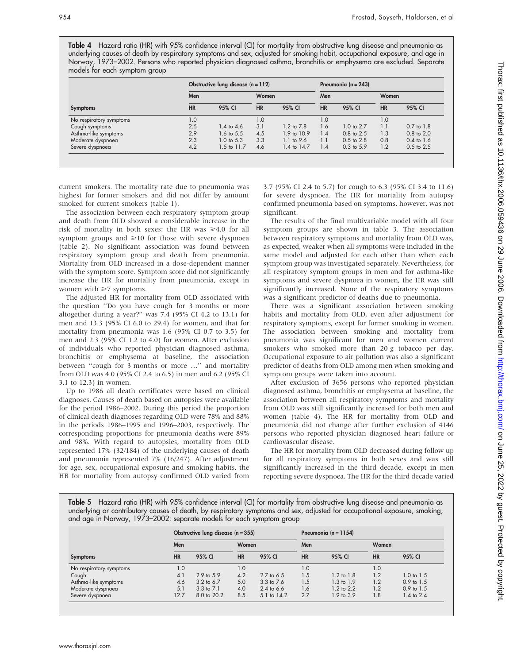Table 4 Hazard ratio (HR) with 95% confidence interval (CI) for mortality from obstructive lung disease and pneumonia as underlying causes of death by respiratory symptoms and sex, adjusted for smoking habit, occupational exposure, and age in Norway, 1973–2002. Persons who reported physician diagnosed asthma, bronchitis or emphysema are excluded. Separate models for each symptom group

|                         |           | Obstructive lung disease $(n = 112)$ |           | Pneumonia ( $n = 243$ ) |           |                       |           |                       |
|-------------------------|-----------|--------------------------------------|-----------|-------------------------|-----------|-----------------------|-----------|-----------------------|
|                         | Men       | Women                                |           | Men                     |           | Women                 |           |                       |
| <b>Symptoms</b>         | <b>HR</b> | 95% CI                               | <b>HR</b> | 95% CI                  | <b>HR</b> | 95% CI                | <b>HR</b> | 95% CI                |
| No respiratory symptoms | 1.0       |                                      | 1.0       |                         | 1.0       |                       | 1.0       |                       |
| Cough symptoms          | 2.5       | $1.4 \text{ to } 4.6$                | 3.1       | $1.2 \text{ to } 7.8$   | 1.6       | $1.0 \text{ to } 2.7$ | 1.1       | $0.7$ to $1.8$        |
| Asthma-like symptoms    | 2.9       | 1.6 to 5.5                           | 4.5       | 1.9 to 10.9             | 1.4       | $0.8 \text{ to } 2.5$ | 1.3       | $0.8$ to $2.0$        |
| Moderate dyspnoea       | 2.3       | $1.0 \text{ to } 5.3$                | 3.3       | $1.1$ to 9.6            | 1.1       | $0.5 \text{ to } 2.8$ | 0.8       | $0.4 \text{ to } 1.6$ |
| Severe dyspnoea         | 4.2       | 1.5 to 11.7                          | 4.6       | 1.4 to 14.7             | 1.4       | $0.3 \text{ to } 5.9$ | 1.2       | $0.5$ to $2.5$        |

current smokers. The mortality rate due to pneumonia was highest for former smokers and did not differ by amount smoked for current smokers (table 1).

The association between each respiratory symptom group and death from OLD showed a considerable increase in the risk of mortality in both sexes: the HR was  $\geq 4.0$  for all symptom groups and  $\geq 10$  for those with severe dyspnoea (table 2). No significant association was found between respiratory symptom group and death from pneumonia. Mortality from OLD increased in a dose-dependent manner with the symptom score. Symptom score did not significantly increase the HR for mortality from pneumonia, except in women with  $\geq 7$  symptoms.

The adjusted HR for mortality from OLD associated with the question ''Do you have cough for 3 months or more altogether during a year?'' was 7.4 (95% CI 4.2 to 13.1) for men and 13.3 (95% CI 6.0 to 29.4) for women, and that for mortality from pneumonia was 1.6 (95% CI 0.7 to 3.5) for men and 2.3 (95% CI 1.2 to 4.0) for women. After exclusion of individuals who reported physician diagnosed asthma, bronchitis or emphysema at baseline, the association between ''cough for 3 months or more …'' and mortality from OLD was 4.0 (95% CI 2.4 to 6.5) in men and 6.2 (95% CI 3.1 to 12.3) in women.

Up to 1986 all death certificates were based on clinical diagnoses. Causes of death based on autopsies were available for the period 1986–2002. During this period the proportion of clinical death diagnoses regarding OLD were 78% and 88% in the periods 1986–1995 and 1996–2003, respectively. The corresponding proportions for pneumonia deaths were 89% and 98%. With regard to autopsies, mortality from OLD represented 17% (32/184) of the underlying causes of death and pneumonia represented 7% (16/247). After adjustment for age, sex, occupational exposure and smoking habits, the HR for mortality from autopsy confirmed OLD varied from

3.7 (95% CI 2.4 to 5.7) for cough to 6.3 (95% CI 3.4 to 11.6) for severe dyspnoea. The HR for mortality from autopsy confirmed pneumonia based on symptoms, however, was not significant.

The results of the final multivariable model with all four symptom groups are shown in table 3. The association between respiratory symptoms and mortality from OLD was, as expected, weaker when all symptoms were included in the same model and adjusted for each other than when each symptom group was investigated separately. Nevertheless, for all respiratory symptom groups in men and for asthma-like symptoms and severe dyspnoea in women, the HR was still significantly increased. None of the respiratory symptoms was a significant predictor of deaths due to pneumonia.

There was a significant association between smoking habits and mortality from OLD, even after adjustment for respiratory symptoms, except for former smoking in women. The association between smoking and mortality from pneumonia was significant for men and women current smokers who smoked more than 20 g tobacco per day. Occupational exposure to air pollution was also a significant predictor of deaths from OLD among men when smoking and symptom groups were taken into account.

After exclusion of 3656 persons who reported physician diagnosed asthma, bronchitis or emphysema at baseline, the association between all respiratory symptoms and mortality from OLD was still significantly increased for both men and women (table 4). The HR for mortality from OLD and pneumonia did not change after further exclusion of 4146 persons who reported physician diagnosed heart failure or cardiovascular disease.

The HR for mortality from OLD decreased during follow up for all respiratory symptoms in both sexes and was still significantly increased in the third decade, except in men reporting severe dyspnoea. The HR for the third decade varied

Table 5 Hazard ratio (HR) with 95% confidence interval (CI) for mortality from obstructive lung disease and pneumonia as underlying or contributory causes of death, by respiratory symptoms and sex, adjusted for occupational exposure, smoking, and age in Norway, 1973–2002: separate models for each symptom group

| Obstructive lung disease $(n = 355)$ |           |                       |           |                |           | Pneumonia ( $n = 1154$ ) |                  |                       |  |  |
|--------------------------------------|-----------|-----------------------|-----------|----------------|-----------|--------------------------|------------------|-----------------------|--|--|
|                                      | Men       |                       | Women     |                | Men       |                          | Women            |                       |  |  |
| <b>Symptoms</b>                      | <b>HR</b> | 95% CI                | <b>HR</b> | 95% CI         | <b>HR</b> | 95% CI                   | <b>HR</b>        | 95% CI                |  |  |
| No respiratory symptoms              | 1.0       |                       | 1.0       |                | 1.0       |                          | 0.1              |                       |  |  |
| Cough                                | 4.1       | $2.9 \text{ to } 5.9$ | 4.2       | 2.7 to 6.5     | 1.5       | $1.2 \text{ to } 1.8$    | 1.2              | $1.0 \text{ to } 1.5$ |  |  |
| Asthma-like symptoms                 | 4.6       | 3.2 to 6.7            | 5.0       | $3.3$ to $7.6$ | 1.5       | $1.3 \text{ to } 1.9$    | 1.2              | $0.9$ to $1.5$        |  |  |
| Moderate dyspnoea                    | 5.1       | $3.3 \text{ to } 7.1$ | 4.0       | 2.4 to $6.6$   | 1.6       | $1.2 \text{ to } 2.2$    | $\overline{1.2}$ | $0.9$ to $1.5$        |  |  |
| Severe dyspnoea                      | 12.7      | 8.0 to 20.2           | 8.5       | 5.1 to 14.2    | 2.7       | 1.9 to 3.9               | 1.8              | $1.4 \text{ to } 2.4$ |  |  |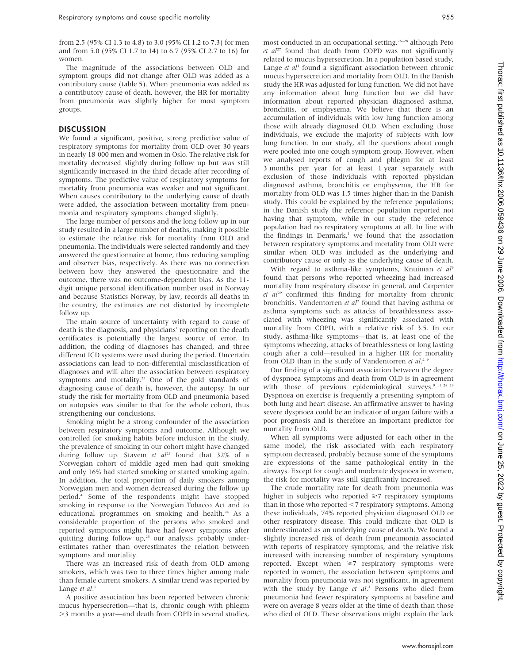from 2.5 (95% CI 1.3 to 4.8) to 3.0 (95% CI 1.2 to 7.3) for men and from 5.0 (95% CI 1.7 to 14) to 6.7 (95% CI 2.7 to 16) for women.

The magnitude of the associations between OLD and symptom groups did not change after OLD was added as a contributory cause (table 5). When pneumonia was added as a contributory cause of death, however, the HR for mortality from pneumonia was slightly higher for most symptom groups.

## DISCUSSION

We found a significant, positive, strong predictive value of respiratory symptoms for mortality from OLD over 30 years in nearly 18 000 men and women in Oslo. The relative risk for mortality decreased slightly during follow up but was still significantly increased in the third decade after recording of symptoms. The predictive value of respiratory symptoms for mortality from pneumonia was weaker and not significant. When causes contributory to the underlying cause of death were added, the association between mortality from pneumonia and respiratory symptoms changed slightly.

The large number of persons and the long follow up in our study resulted in a large number of deaths, making it possible to estimate the relative risk for mortality from OLD and pneumonia. The individuals were selected randomly and they answered the questionnaire at home, thus reducing sampling and observer bias, respectively. As there was no connection between how they answered the questionnaire and the outcome, there was no outcome-dependent bias. As the 11 digit unique personal identification number used in Norway and because Statistics Norway, by law, records all deaths in the country, the estimates are not distorted by incomplete follow up.

The main source of uncertainty with regard to cause of death is the diagnosis, and physicians' reporting on the death certificates is potentially the largest source of error. In addition, the coding of diagnoses has changed, and three different ICD systems were used during the period. Uncertain associations can lead to non-differential misclassification of diagnoses and will alter the association between respiratory symptoms and mortality.<sup>22</sup> One of the gold standards of diagnosing cause of death is, however, the autopsy. In our study the risk for mortality from OLD and pneumonia based on autopsies was similar to that for the whole cohort, thus strengthening our conclusions.

Smoking might be a strong confounder of the association between respiratory symptoms and outcome. Although we controlled for smoking habits before inclusion in the study, the prevalence of smoking in our cohort might have changed during follow up. Stavem et  $al^{23}$  found that 32% of a Norwegian cohort of middle aged men had quit smoking and only 16% had started smoking or started smoking again. In addition, the total proportion of daily smokers among Norwegian men and women decreased during the follow up period.4 Some of the respondents might have stopped smoking in response to the Norwegian Tobacco Act and to educational programmes on smoking and health.<sup>24</sup> As a considerable proportion of the persons who smoked and reported symptoms might have had fewer symptoms after quitting during follow up,<sup>25</sup> our analysis probably underestimates rather than overestimates the relation between symptoms and mortality.

There was an increased risk of death from OLD among smokers, which was two to three times higher among male than female current smokers. A similar trend was reported by Lange et al.<sup>1</sup>

A positive association has been reported between chronic mucus hypersecretion—that is, chronic cough with phlegm .3 months a year—and death from COPD in several studies,

most conducted in an occupational setting,<sup>26–28</sup> although Peto et  $al^{27}$  found that death from COPD was not significantly related to mucus hypersecretion. In a population based study, Lange et  $al<sup>1</sup>$  found a significant association between chronic mucus hypersecretion and mortality from OLD. In the Danish study the HR was adjusted for lung function. We did not have any information about lung function but we did have information about reported physician diagnosed asthma, bronchitis, or emphysema. We believe that there is an accumulation of individuals with low lung function among those with already diagnosed OLD. When excluding those individuals, we exclude the majority of subjects with low lung function. In our study, all the questions about cough were pooled into one cough symptom group. However, when we analysed reports of cough and phlegm for at least 3 months per year for at least 1 year separately with exclusion of those individuals with reported physician diagnosed asthma, bronchitis or emphysema, the HR for mortality from OLD was 1.5 times higher than in the Danish study. This could be explained by the reference populations; in the Danish study the reference population reported not having that symptom, while in our study the reference population had no respiratory symptoms at all. In line with the findings in Denmark,<sup>1</sup> we found that the association between respiratory symptoms and mortality from OLD were similar when OLD was included as the underlying and contributory cause or only as the underlying cause of death.

With regard to asthma-like symptoms, Knuiman et al<sup>9</sup> found that persons who reported wheezing had increased mortality from respiratory disease in general, and Carpenter  $et$   $al^{29}$  confirmed this finding for mortality from chronic bronchitis. Vandentorren et al<sup>2</sup> found that having asthma or asthma symptoms such as attacks of breathlessness associated with wheezing was significantly associated with mortality from COPD, with a relative risk of 3.5. In our study, asthma-like symptoms—that is, at least one of the symptoms wheezing, attacks of breathlessness or long lasting cough after a cold—resulted in a higher HR for mortality from OLD than in the study of Vandentorren et al.<sup>2</sup> 9

Our finding of a significant association between the degree of dyspnoea symptoms and death from OLD is in agreement with those of previous epidemiological surveys.<sup>9 11 28 29</sup> Dyspnoea on exercise is frequently a presenting symptom of both lung and heart disease. An affirmative answer to having severe dyspnoea could be an indicator of organ failure with a poor prognosis and is therefore an important predictor for mortality from OLD.

When all symptoms were adjusted for each other in the same model, the risk associated with each respiratory symptom decreased, probably because some of the symptoms are expressions of the same pathological entity in the airways. Except for cough and moderate dyspnoea in women, the risk for mortality was still significantly increased.

The crude mortality rate for death from pneumonia was higher in subjects who reported  $\geq 7$  respiratory symptoms than in those who reported  $\leq$ 7 respiratory symptoms. Among these individuals, 74% reported physician diagnosed OLD or other respiratory disease. This could indicate that OLD is underestimated as an underlying cause of death. We found a slightly increased risk of death from pneumonia associated with reports of respiratory symptoms, and the relative risk increased with increasing number of respiratory symptoms reported. Except when  $\geq 7$  respiratory symptoms were reported in women, the association between symptoms and mortality from pneumonia was not significant, in agreement with the study by Lange et al.<sup>3</sup> Persons who died from pneumonia had fewer respiratory symptoms at baseline and were on average 8 years older at the time of death than those who died of OLD. These observations might explain the lack